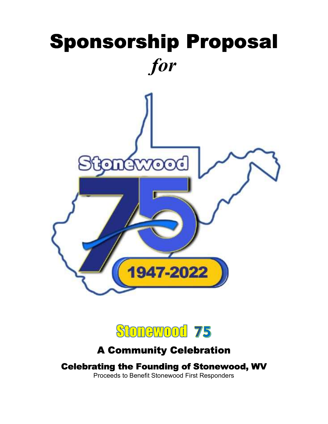



A Community Celebration Celebrating the Founding of Stonewood, WV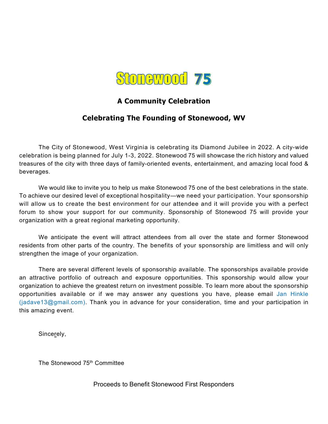

# A Community Celebration

# Celebrating The Founding of Stonewood, WV

The City of Stonewood, West Virginia is celebrating its Diamond Jubilee in 2022. A city-wide celebration is being planned for July 1-3, 2022. Stonewood 75 will showcase the rich history and valued treasures of the city with three days of family-oriented events, entertainment, and amazing local food & beverages.

We would like to invite you to help us make Stonewood 75 one of the best celebrations in the state. To achieve our desired level of exceptional hospitality—we need your participation. Your sponsorship will allow us to create the best environment for our attendee and it will provide you with a perfect forum to show your support for our community. Sponsorship of Stonewood 75 will provide your organization with a great regional marketing opportunity.

We anticipate the event will attract attendees from all over the state and former Stonewood residents from other parts of the country. The benefits of your sponsorship are limitless and will only strengthen the image of your organization.

There are several different levels of sponsorship available. The sponsorships available provide an attractive portfolio of outreach and exposure opportunities. This sponsorship would allow your organization to achieve the greatest return on investment possible. To learn more about the sponsorship opportunities available or if we may answer any questions you have, please email Jan Hinkle (jadave13@gmail.com). Thank you in advance for your consideration, time and your participation in this amazing event.

Sincerely,

The Stonewood 75<sup>th</sup> Committee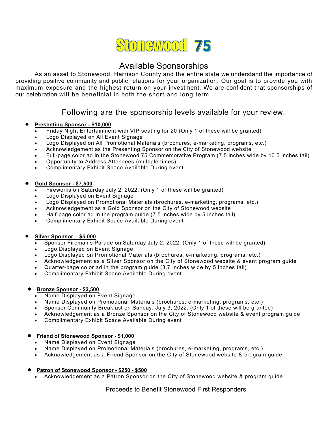# **Stonewood 75**

# Available Sponsorships

As an asset to Stonewood, Harrison County and the entire state we understand the importance of providing positive community and public relations for your organization. Our goal is to provide you with maximum exposure and the highest return on your investment. We are confident that sponsorships of our celebration will be beneficial in both the short and long term.

## Following are the sponsorship levels available for your review.

#### Presenting Sponsor - \$10,000

- Friday Night Entertainment with VIP seating for 20 (Only 1 of these will be granted)
- Logo Displayed on All Event Signage
- Logo Displayed on All Promotional Materials (brochures, e-marketing, programs, etc.)
- Acknowledgement as the Presenting Sponsor on the City of Stonewood website
- Full-page color ad in the Stonewood 75 Commemorative Program (7.5 inches wide by 10.5 inches tall)
- Opportunity to Address Attendees (multiple times)
- Complimentary Exhibit Space Available During event

#### Gold Sponsor - \$7,500

- Fireworks on Saturday July 2, 2022. (Only 1 of these will be granted)
- Logo Displayed on Event Signage
- Logo Displayed on Promotional Materials (brochures, e-marketing, programs, etc.)
- Acknowledgement as a Gold Sponsor on the City of Stonewood website
- Half-page color ad in the program guide (7.5 inches wide by 5 inches tall)
- Complimentary Exhibit Space Available During event

#### Silver Sponsor – \$5,000

- Sponsor Fireman's Parade on Saturday July 2, 2022. (Only 1 of these will be granted)
- Logo Displayed on Event Signage
- Logo Displayed on Promotional Materials (brochures, e-marketing, programs, etc.)
- Acknowledgement as a Silver Sponsor on the City of Stonewood website & event program guide
- Quarter-page color ad in the program guide (3.7 inches wide by 5 inches tall)
- Complimentary Exhibit Space Available During event

#### ● Bronze Sponsor - \$2,500

- Name Displayed on Event Signage
- Name Displayed on Promotional Materials (brochures, e-marketing, programs, etc.)
- Sponsor Community Breakfast on Sunday, July 3, 2022. (Only 1 of these will be granted)
- Acknowledgement as a Bronze Sponsor on the City of Stonewood website & event program guide
- Complimentary Exhibit Space Available During event

#### Friend of Stonewood Sponsor - \$1,000

- Name Displayed on Event Signage
- Name Displayed on Promotional Materials (brochures, e-marketing, programs, etc.)
- Acknowledgement as a Friend Sponsor on the City of Stonewood website & program guide

#### Patron of Stonewood Sponsor - \$250 - \$500

Acknowledgement as a Patron Sponsor on the City of Stonewood website & program guide